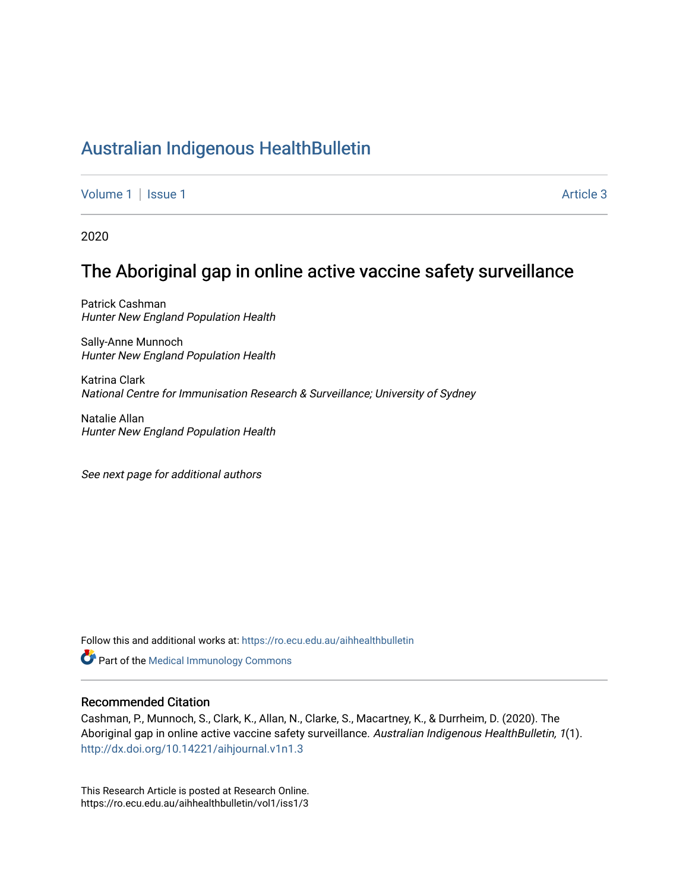## [Australian Indigenous HealthBulletin](https://ro.ecu.edu.au/aihhealthbulletin)

[Volume 1](https://ro.ecu.edu.au/aihhealthbulletin/vol1) | [Issue 1](https://ro.ecu.edu.au/aihhealthbulletin/vol1/iss1) Article 3

2020

# The Aboriginal gap in online active vaccine safety surveillance

Patrick Cashman Hunter New England Population Health

Sally-Anne Munnoch Hunter New England Population Health

Katrina Clark National Centre for Immunisation Research & Surveillance; University of Sydney

Natalie Allan Hunter New England Population Health

See next page for additional authors

Follow this and additional works at: [https://ro.ecu.edu.au/aihhealthbulletin](https://ro.ecu.edu.au/aihhealthbulletin?utm_source=ro.ecu.edu.au%2Faihhealthbulletin%2Fvol1%2Fiss1%2F3&utm_medium=PDF&utm_campaign=PDFCoverPages) 

Part of the [Medical Immunology Commons](https://network.bepress.com/hgg/discipline/671?utm_source=ro.ecu.edu.au%2Faihhealthbulletin%2Fvol1%2Fiss1%2F3&utm_medium=PDF&utm_campaign=PDFCoverPages) 

#### Recommended Citation

Cashman, P., Munnoch, S., Clark, K., Allan, N., Clarke, S., Macartney, K., & Durrheim, D. (2020). The Aboriginal gap in online active vaccine safety surveillance. Australian Indigenous HealthBulletin, 1(1). <http://dx.doi.org/10.14221/aihjournal.v1n1.3>

This Research Article is posted at Research Online. https://ro.ecu.edu.au/aihhealthbulletin/vol1/iss1/3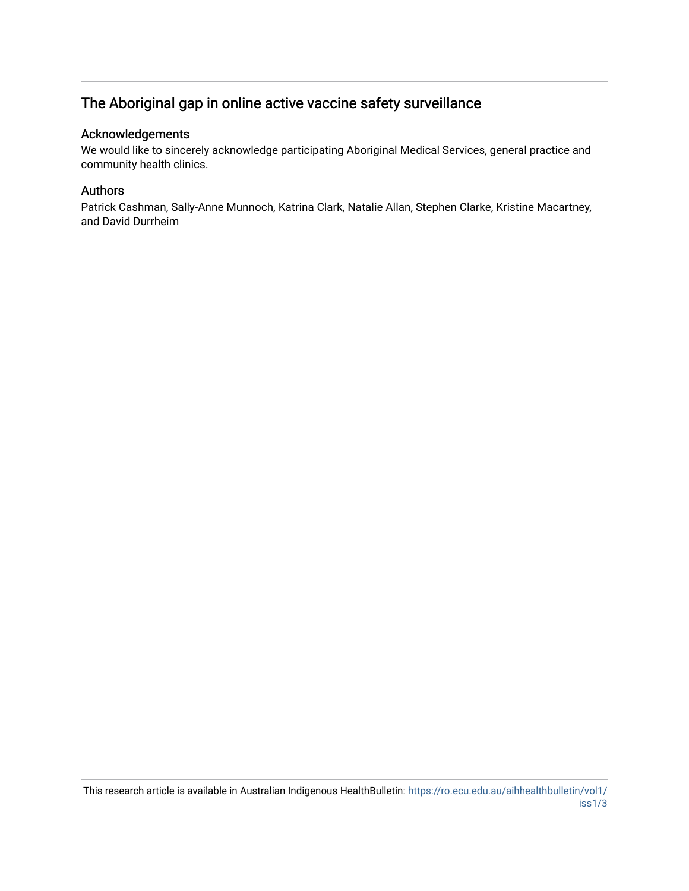## The Aboriginal gap in online active vaccine safety surveillance

#### Acknowledgements

We would like to sincerely acknowledge participating Aboriginal Medical Services, general practice and community health clinics.

#### Authors

Patrick Cashman, Sally-Anne Munnoch, Katrina Clark, Natalie Allan, Stephen Clarke, Kristine Macartney, and David Durrheim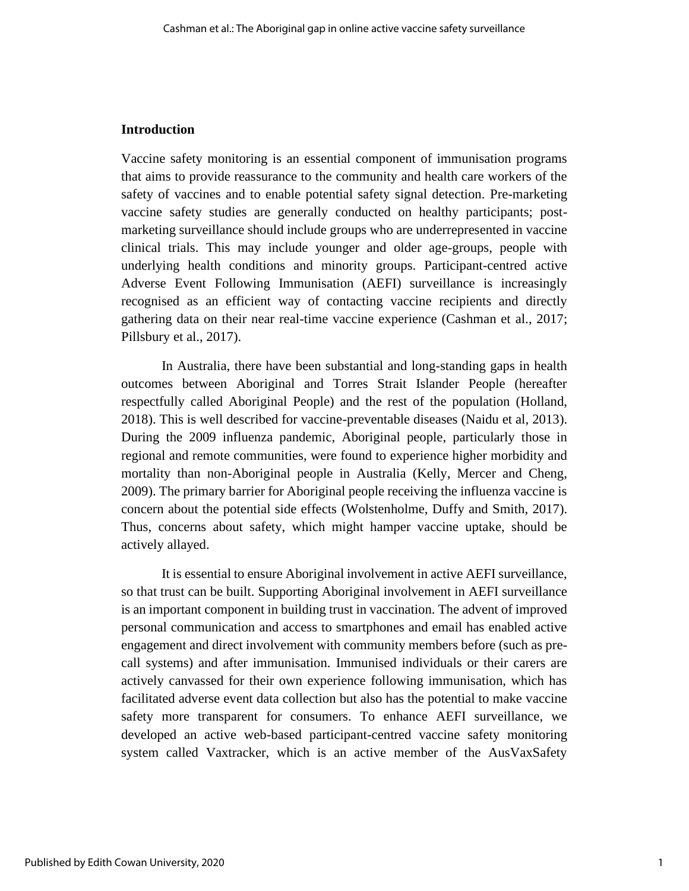#### **Introduction**

Vaccine safety monitoring is an essential component of immunisation programs that aims to provide reassurance to the community and health care workers of the safety of vaccines and to enable potential safety signal detection. Pre-marketing vaccine safety studies are generally conducted on healthy participants; postmarketing surveillance should include groups who are underrepresented in vaccine clinical trials. This may include younger and older age-groups, people with underlying health conditions and minority groups. Participant-centred active Adverse Event Following Immunisation (AEFI) surveillance is increasingly recognised as an efficient way of contacting vaccine recipients and directly gathering data on their near real-time vaccine experience (Cashman et al., 2017; Pillsbury et al., 2017).

In Australia, there have been substantial and long-standing gaps in health outcomes between Aboriginal and Torres Strait Islander People (hereafter respectfully called Aboriginal People) and the rest of the population (Holland, 2018). This is well described for vaccine-preventable diseases (Naidu et al, 2013). During the 2009 influenza pandemic, Aboriginal people, particularly those in regional and remote communities, were found to experience higher morbidity and mortality than non-Aboriginal people in Australia (Kelly, Mercer and Cheng, 2009). The primary barrier for Aboriginal people receiving the influenza vaccine is concern about the potential side effects (Wolstenholme, Duffy and Smith, 2017). Thus, concerns about safety, which might hamper vaccine uptake, should be actively allayed.

It is essential to ensure Aboriginal involvement in active AEFI surveillance, so that trust can be built. Supporting Aboriginal involvement in AEFI surveillance is an important component in building trust in vaccination. The advent of improved personal communication and access to smartphones and email has enabled active engagement and direct involvement with community members before (such as precall systems) and after immunisation. Immunised individuals or their carers are actively canvassed for their own experience following immunisation, which has facilitated adverse event data collection but also has the potential to make vaccine safety more transparent for consumers. To enhance AEFI surveillance, we developed an active web-based participant-centred vaccine safety monitoring system called Vaxtracker, which is an active member of the AusVaxSafety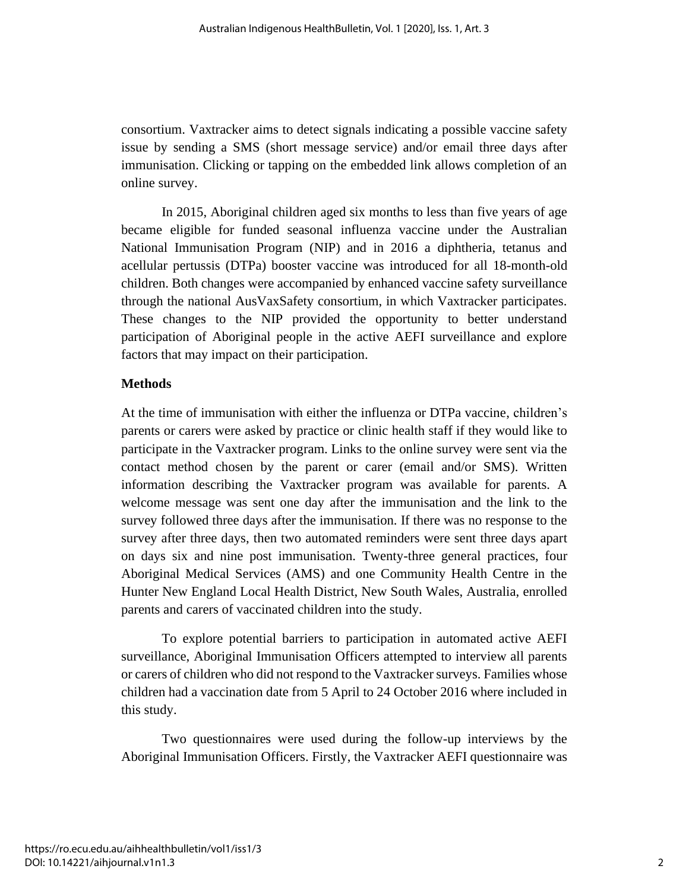consortium. Vaxtracker aims to detect signals indicating a possible vaccine safety issue by sending a SMS (short message service) and/or email three days after immunisation. Clicking or tapping on the embedded link allows completion of an online survey.

In 2015, Aboriginal children aged six months to less than five years of age became eligible for funded seasonal influenza vaccine under the Australian National Immunisation Program (NIP) and in 2016 a diphtheria, tetanus and acellular pertussis (DTPa) booster vaccine was introduced for all 18-month-old children. Both changes were accompanied by enhanced vaccine safety surveillance through the national AusVaxSafety consortium, in which Vaxtracker participates. These changes to the NIP provided the opportunity to better understand participation of Aboriginal people in the active AEFI surveillance and explore factors that may impact on their participation.

#### **Methods**

At the time of immunisation with either the influenza or DTPa vaccine, children's parents or carers were asked by practice or clinic health staff if they would like to participate in the Vaxtracker program. Links to the online survey were sent via the contact method chosen by the parent or carer (email and/or SMS). Written information describing the Vaxtracker program was available for parents. A welcome message was sent one day after the immunisation and the link to the survey followed three days after the immunisation. If there was no response to the survey after three days, then two automated reminders were sent three days apart on days six and nine post immunisation. Twenty-three general practices, four Aboriginal Medical Services (AMS) and one Community Health Centre in the Hunter New England Local Health District, New South Wales, Australia, enrolled parents and carers of vaccinated children into the study.

To explore potential barriers to participation in automated active AEFI surveillance, Aboriginal Immunisation Officers attempted to interview all parents or carers of children who did not respond to the Vaxtracker surveys. Families whose children had a vaccination date from 5 April to 24 October 2016 where included in this study.

Two questionnaires were used during the follow-up interviews by the Aboriginal Immunisation Officers. Firstly, the Vaxtracker AEFI questionnaire was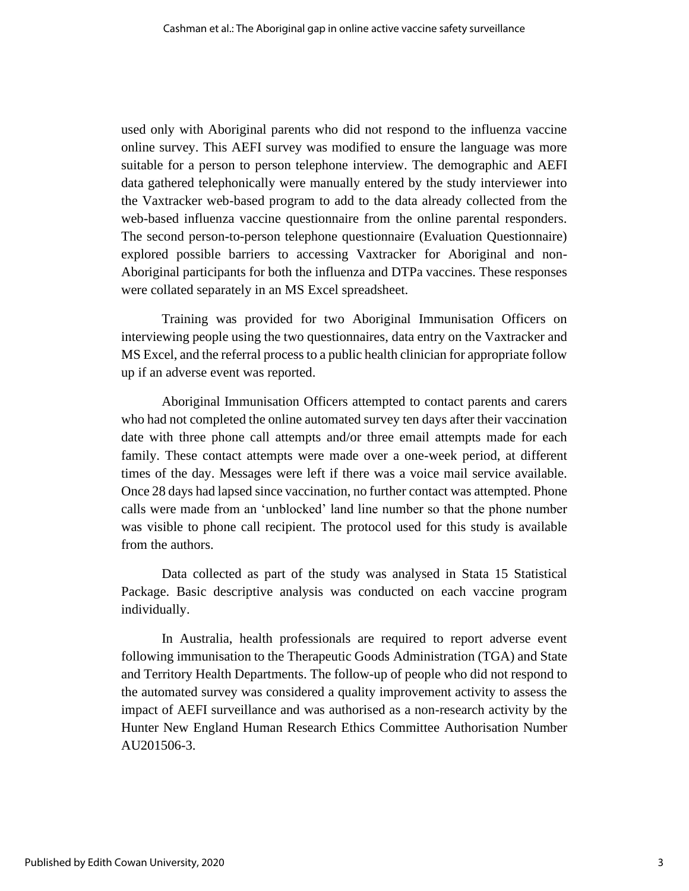used only with Aboriginal parents who did not respond to the influenza vaccine online survey. This AEFI survey was modified to ensure the language was more suitable for a person to person telephone interview. The demographic and AEFI data gathered telephonically were manually entered by the study interviewer into the Vaxtracker web-based program to add to the data already collected from the web-based influenza vaccine questionnaire from the online parental responders. The second person-to-person telephone questionnaire (Evaluation Questionnaire) explored possible barriers to accessing Vaxtracker for Aboriginal and non-Aboriginal participants for both the influenza and DTPa vaccines. These responses were collated separately in an MS Excel spreadsheet.

Training was provided for two Aboriginal Immunisation Officers on interviewing people using the two questionnaires, data entry on the Vaxtracker and MS Excel, and the referral process to a public health clinician for appropriate follow up if an adverse event was reported.

Aboriginal Immunisation Officers attempted to contact parents and carers who had not completed the online automated survey ten days after their vaccination date with three phone call attempts and/or three email attempts made for each family. These contact attempts were made over a one-week period, at different times of the day. Messages were left if there was a voice mail service available. Once 28 days had lapsed since vaccination, no further contact was attempted. Phone calls were made from an 'unblocked' land line number so that the phone number was visible to phone call recipient. The protocol used for this study is available from the authors.

Data collected as part of the study was analysed in Stata 15 Statistical Package. Basic descriptive analysis was conducted on each vaccine program individually.

In Australia, health professionals are required to report adverse event following immunisation to the Therapeutic Goods Administration (TGA) and State and Territory Health Departments. The follow-up of people who did not respond to the automated survey was considered a quality improvement activity to assess the impact of AEFI surveillance and was authorised as a non-research activity by the Hunter New England Human Research Ethics Committee Authorisation Number AU201506-3.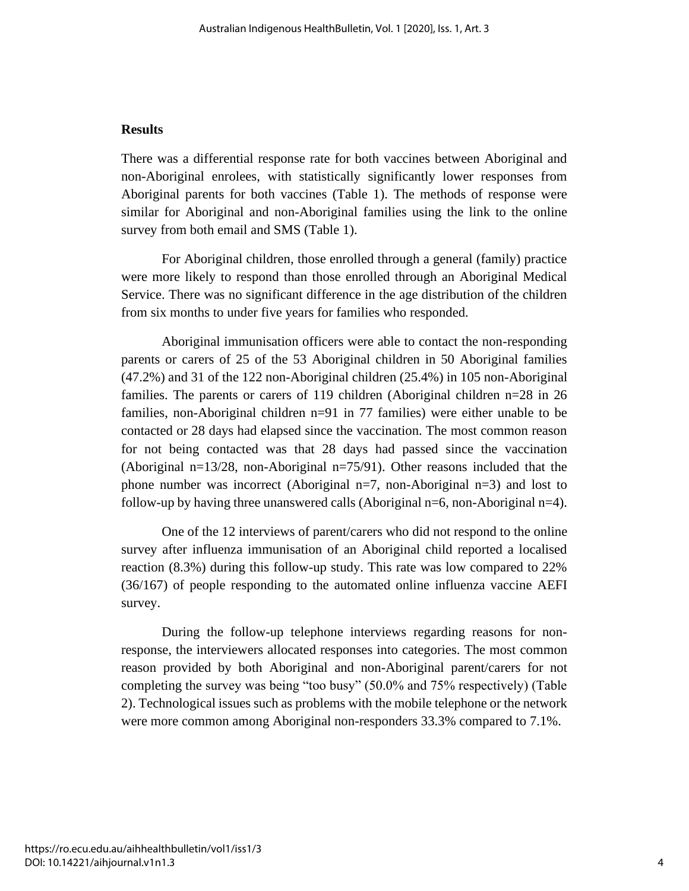#### **Results**

There was a differential response rate for both vaccines between Aboriginal and non-Aboriginal enrolees, with statistically significantly lower responses from Aboriginal parents for both vaccines (Table 1). The methods of response were similar for Aboriginal and non-Aboriginal families using the link to the online survey from both email and SMS (Table 1).

For Aboriginal children, those enrolled through a general (family) practice were more likely to respond than those enrolled through an Aboriginal Medical Service. There was no significant difference in the age distribution of the children from six months to under five years for families who responded.

Aboriginal immunisation officers were able to contact the non-responding parents or carers of 25 of the 53 Aboriginal children in 50 Aboriginal families (47.2%) and 31 of the 122 non-Aboriginal children (25.4%) in 105 non-Aboriginal families. The parents or carers of 119 children (Aboriginal children n=28 in 26 families, non-Aboriginal children n=91 in 77 families) were either unable to be contacted or 28 days had elapsed since the vaccination. The most common reason for not being contacted was that 28 days had passed since the vaccination (Aboriginal n=13/28, non-Aboriginal n=75/91). Other reasons included that the phone number was incorrect (Aboriginal  $n=7$ , non-Aboriginal  $n=3$ ) and lost to follow-up by having three unanswered calls (Aboriginal n=6, non-Aboriginal n=4).

One of the 12 interviews of parent/carers who did not respond to the online survey after influenza immunisation of an Aboriginal child reported a localised reaction (8.3%) during this follow-up study. This rate was low compared to 22% (36/167) of people responding to the automated online influenza vaccine AEFI survey.

During the follow-up telephone interviews regarding reasons for nonresponse, the interviewers allocated responses into categories. The most common reason provided by both Aboriginal and non-Aboriginal parent/carers for not completing the survey was being "too busy" (50.0% and 75% respectively) (Table 2). Technological issues such as problems with the mobile telephone or the network were more common among Aboriginal non-responders 33.3% compared to 7.1%.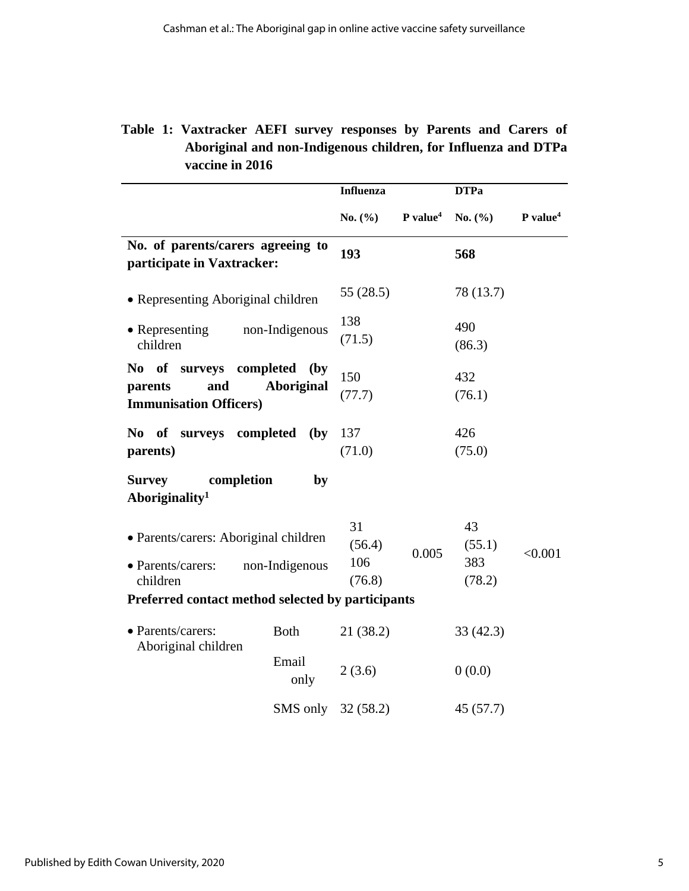|  | Table 1: Vaxtracker AEFI survey responses by Parents and Carers of |  |  |  |  |
|--|--------------------------------------------------------------------|--|--|--|--|
|  | Aboriginal and non-Indigenous children, for Influenza and DTPa     |  |  |  |  |
|  | vaccine in 2016                                                    |  |  |  |  |

|                                                                              |                                   | <b>Influenza</b>    |                      | <b>DTPa</b>         |                      |  |
|------------------------------------------------------------------------------|-----------------------------------|---------------------|----------------------|---------------------|----------------------|--|
|                                                                              |                                   | No. $(\% )$         | P value <sup>4</sup> | No. $(\% )$         | P value <sup>4</sup> |  |
| No. of parents/carers agreeing to<br>participate in Vaxtracker:              |                                   | 193                 |                      | 568                 |                      |  |
| • Representing Aboriginal children                                           |                                   | 55 (28.5)           |                      | 78 (13.7)           |                      |  |
| • Representing<br>non-Indigenous<br>children                                 | 138<br>(71.5)                     |                     | 490<br>(86.3)        |                     |                      |  |
| No of surveys completed<br>and<br>parents<br><b>Immunisation Officers)</b>   | $\mathbf{b}$<br><b>Aboriginal</b> | 150<br>(77.7)       |                      | 432<br>(76.1)       |                      |  |
| completed<br>No of surveys<br>parents)                                       | $(\mathbf{by})$                   | 137<br>(71.0)       |                      | 426<br>(75.0)       |                      |  |
| <b>Survey</b><br>completion<br>Aboriginality <sup>1</sup>                    | by                                |                     |                      |                     |                      |  |
| • Parents/carers: Aboriginal children<br>• Parents/carers:<br>non-Indigenous |                                   | 31<br>(56.4)<br>106 | 0.005                | 43<br>(55.1)<br>383 | < 0.001              |  |
| children                                                                     |                                   | (76.8)              |                      | (78.2)              |                      |  |
| Preferred contact method selected by participants                            |                                   |                     |                      |                     |                      |  |
| • Parents/carers:<br><b>Both</b>                                             |                                   | 21 (38.2)           |                      | 33(42.3)            |                      |  |
| Aboriginal children                                                          | Email<br>only                     | 2(3.6)              |                      | 0(0.0)              |                      |  |
|                                                                              | SMS only                          | 32(58.2)            |                      | 45(57.7)            |                      |  |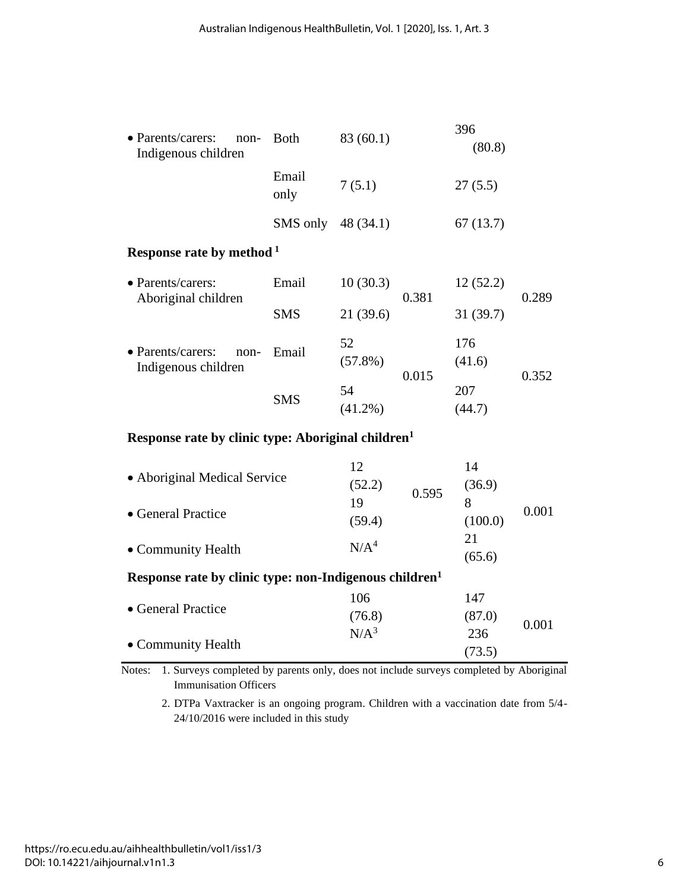| • Parents/carers:<br>non-<br>Indigenous children | <b>Both</b>        | 396<br>83 (60.1) |       | (80.8)        |       |  |
|--------------------------------------------------|--------------------|------------------|-------|---------------|-------|--|
|                                                  | Email<br>only      | 7(5.1)           |       | 27(5.5)       |       |  |
|                                                  | SMS only 48 (34.1) |                  |       | 67(13.7)      |       |  |
| Response rate by method <sup>1</sup>             |                    |                  |       |               |       |  |
| • Parents/carers:<br>Aboriginal children         | Email              | 10(30.3)         | 0.381 | 12(52.2)      | 0.289 |  |
|                                                  | <b>SMS</b>         | 21(39.6)         |       | 31 (39.7)     |       |  |
| • Parents/carers:<br>non-<br>Indigenous children | Email              | 52<br>$(57.8\%)$ | 0.015 | 176<br>(41.6) | 0.352 |  |
|                                                  | <b>SMS</b>         | 54<br>$(41.2\%)$ |       | 207<br>(44.7) |       |  |

## **Response rate by clinic type: Aboriginal children<sup>1</sup>**

|                                                                    | 12               |       | 14      |       |  |  |
|--------------------------------------------------------------------|------------------|-------|---------|-------|--|--|
| • Aboriginal Medical Service                                       | (52.2)           | 0.595 | (36.9)  |       |  |  |
|                                                                    | 19               |       | 8       | 0.001 |  |  |
| $\bullet$ General Practice                                         | (59.4)           |       | (100.0) |       |  |  |
|                                                                    | N/A <sup>4</sup> |       | 21      |       |  |  |
| • Community Health                                                 |                  |       | (65.6)  |       |  |  |
| Response rate by clinic type: non-Indigenous children <sup>1</sup> |                  |       |         |       |  |  |
|                                                                    | 106              |       | 147     |       |  |  |
| • General Practice                                                 | (76.8)           |       | (87.0)  |       |  |  |
|                                                                    | N/A <sup>3</sup> |       | 236     | 0.001 |  |  |
| • Community Health                                                 |                  |       | (73.5)  |       |  |  |

Notes: 1. Surveys completed by parents only, does not include surveys completed by Aboriginal Immunisation Officers

2. DTPa Vaxtracker is an ongoing program. Children with a vaccination date from 5/4- 24/10/2016 were included in this study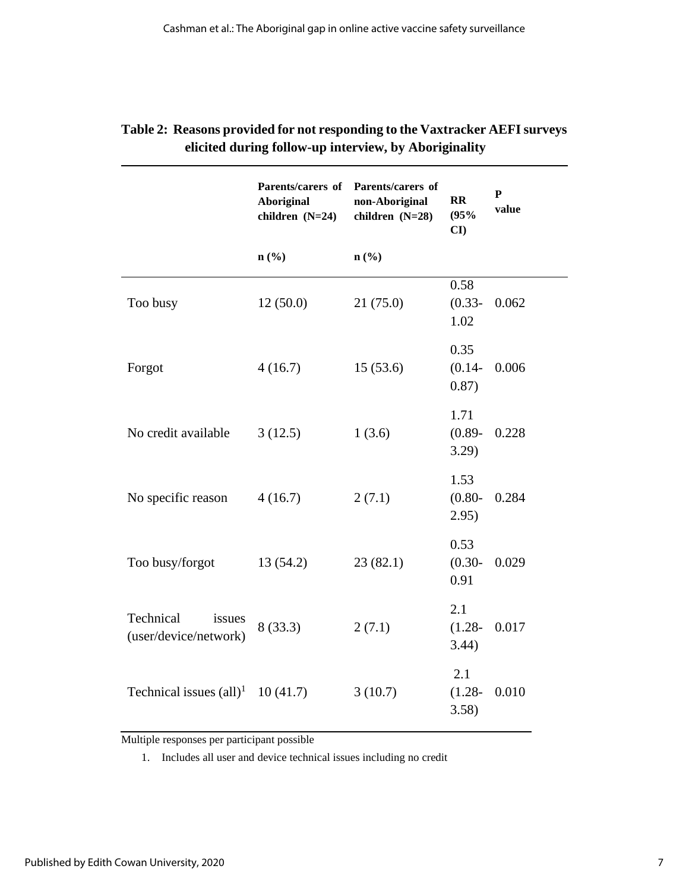|                                              | Parents/carers of<br><b>Aboriginal</b><br>children (N=24) | Parents/carers of<br>non-Aboriginal<br>children (N=28) | <b>RR</b><br>(95%<br>CI    | $\mathbf{P}$<br>value |
|----------------------------------------------|-----------------------------------------------------------|--------------------------------------------------------|----------------------------|-----------------------|
|                                              | $n$ (%)                                                   | $n\left(\frac{0}{0}\right)$                            |                            |                       |
| Too busy                                     | 12(50.0)                                                  | 21(75.0)                                               | 0.58<br>$(0.33 -$<br>1.02  | 0.062                 |
| Forgot                                       | 4(16.7)                                                   | 15(53.6)                                               | 0.35<br>$(0.14 -$<br>0.87) | 0.006                 |
| No credit available                          | 3(12.5)                                                   | 1(3.6)                                                 | 1.71<br>$(0.89 -$<br>3.29) | 0.228                 |
| No specific reason                           | 4(16.7)                                                   | 2(7.1)                                                 | 1.53<br>$(0.80 -$<br>2.95) | 0.284                 |
| Too busy/forgot                              | 13 (54.2)                                                 | 23(82.1)                                               | 0.53<br>$(0.30 -$<br>0.91  | 0.029                 |
| Technical<br>issues<br>(user/device/network) | 8(33.3)                                                   | 2(7.1)                                                 | 2.1<br>$(1.28 -$<br>3.44)  | 0.017                 |
| Technical issues $\text{(all)}^1$            | 10(41.7)                                                  | 3(10.7)                                                | 2.1<br>$(1.28 -$<br>3.58)  | 0.010                 |

### **Table 2: Reasons provided for not responding to the Vaxtracker AEFI surveys elicited during follow-up interview, by Aboriginality**

Multiple responses per participant possible

1. Includes all user and device technical issues including no credit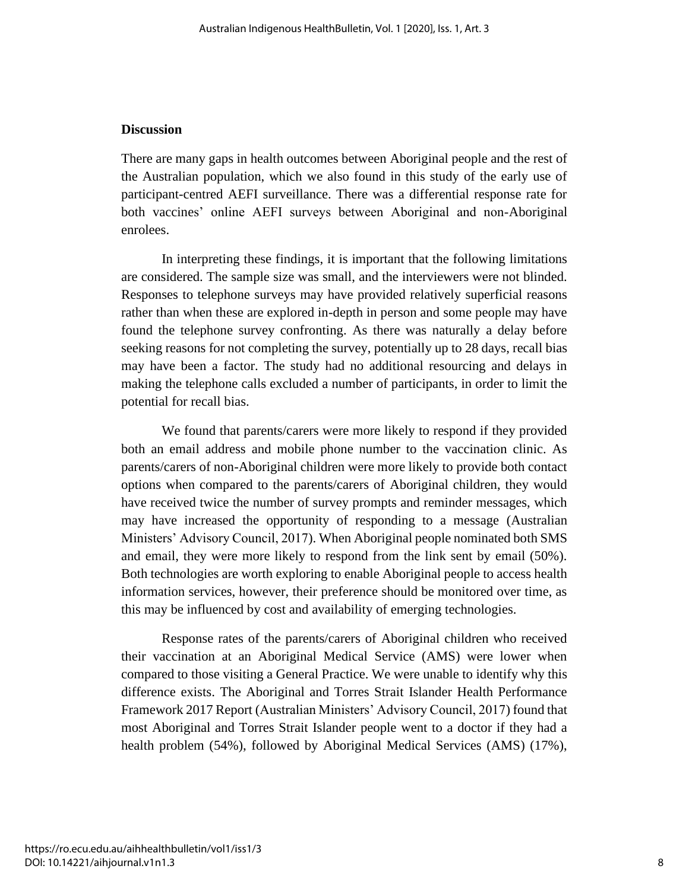#### **Discussion**

There are many gaps in health outcomes between Aboriginal people and the rest of the Australian population, which we also found in this study of the early use of participant-centred AEFI surveillance. There was a differential response rate for both vaccines' online AEFI surveys between Aboriginal and non-Aboriginal enrolees.

In interpreting these findings, it is important that the following limitations are considered. The sample size was small, and the interviewers were not blinded. Responses to telephone surveys may have provided relatively superficial reasons rather than when these are explored in-depth in person and some people may have found the telephone survey confronting. As there was naturally a delay before seeking reasons for not completing the survey, potentially up to 28 days, recall bias may have been a factor. The study had no additional resourcing and delays in making the telephone calls excluded a number of participants, in order to limit the potential for recall bias.

We found that parents/carers were more likely to respond if they provided both an email address and mobile phone number to the vaccination clinic. As parents/carers of non-Aboriginal children were more likely to provide both contact options when compared to the parents/carers of Aboriginal children, they would have received twice the number of survey prompts and reminder messages, which may have increased the opportunity of responding to a message (Australian Ministers' Advisory Council, 2017). When Aboriginal people nominated both SMS and email, they were more likely to respond from the link sent by email (50%). Both technologies are worth exploring to enable Aboriginal people to access health information services, however, their preference should be monitored over time, as this may be influenced by cost and availability of emerging technologies.

Response rates of the parents/carers of Aboriginal children who received their vaccination at an Aboriginal Medical Service (AMS) were lower when compared to those visiting a General Practice. We were unable to identify why this difference exists. The Aboriginal and Torres Strait Islander Health Performance Framework 2017 Report (Australian Ministers' Advisory Council, 2017) found that most Aboriginal and Torres Strait Islander people went to a doctor if they had a health problem (54%), followed by Aboriginal Medical Services (AMS) (17%),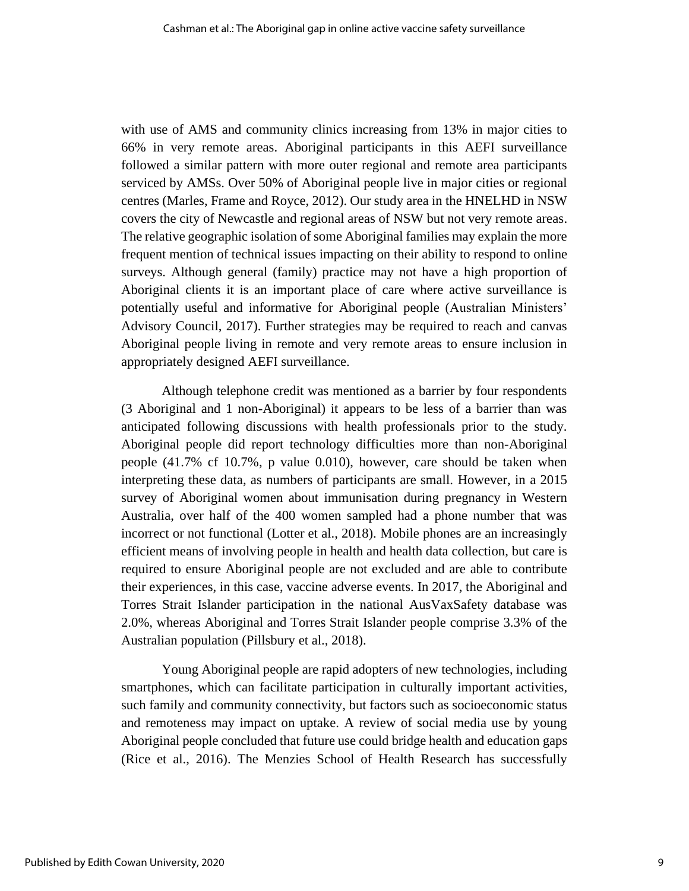with use of AMS and community clinics increasing from 13% in major cities to 66% in very remote areas. Aboriginal participants in this AEFI surveillance followed a similar pattern with more outer regional and remote area participants serviced by AMSs. Over 50% of Aboriginal people live in major cities or regional centres (Marles, Frame and Royce, 2012). Our study area in the HNELHD in NSW covers the city of Newcastle and regional areas of NSW but not very remote areas. The relative geographic isolation of some Aboriginal families may explain the more frequent mention of technical issues impacting on their ability to respond to online surveys. Although general (family) practice may not have a high proportion of Aboriginal clients it is an important place of care where active surveillance is potentially useful and informative for Aboriginal people (Australian Ministers' Advisory Council, 2017). Further strategies may be required to reach and canvas Aboriginal people living in remote and very remote areas to ensure inclusion in appropriately designed AEFI surveillance.

Although telephone credit was mentioned as a barrier by four respondents (3 Aboriginal and 1 non-Aboriginal) it appears to be less of a barrier than was anticipated following discussions with health professionals prior to the study. Aboriginal people did report technology difficulties more than non-Aboriginal people (41.7% cf 10.7%, p value 0.010), however, care should be taken when interpreting these data, as numbers of participants are small. However, in a 2015 survey of Aboriginal women about immunisation during pregnancy in Western Australia, over half of the 400 women sampled had a phone number that was incorrect or not functional (Lotter et al., 2018). Mobile phones are an increasingly efficient means of involving people in health and health data collection, but care is required to ensure Aboriginal people are not excluded and are able to contribute their experiences, in this case, vaccine adverse events. In 2017, the Aboriginal and Torres Strait Islander participation in the national AusVaxSafety database was 2.0%, whereas Aboriginal and Torres Strait Islander people comprise 3.3% of the Australian population (Pillsbury et al., 2018).

Young Aboriginal people are rapid adopters of new technologies, including smartphones, which can facilitate participation in culturally important activities, such family and community connectivity, but factors such as socioeconomic status and remoteness may impact on uptake. A review of social media use by young Aboriginal people concluded that future use could bridge health and education gaps (Rice et al., 2016). The Menzies School of Health Research has successfully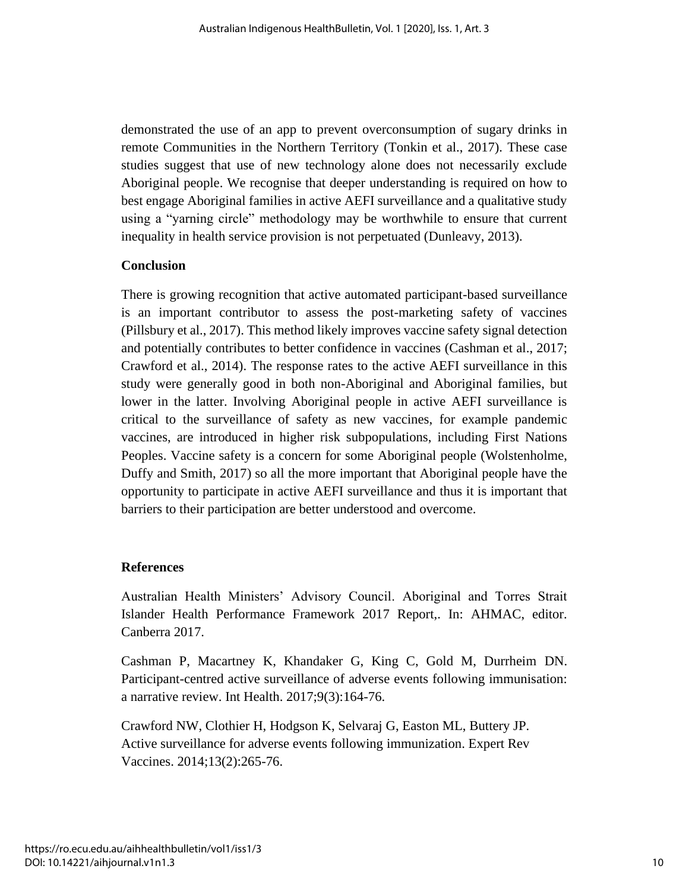demonstrated the use of an app to prevent overconsumption of sugary drinks in remote Communities in the Northern Territory (Tonkin et al., 2017). These case studies suggest that use of new technology alone does not necessarily exclude Aboriginal people. We recognise that deeper understanding is required on how to best engage Aboriginal families in active AEFI surveillance and a qualitative study using a "yarning circle" methodology may be worthwhile to ensure that current inequality in health service provision is not perpetuated (Dunleavy, 2013).

#### **Conclusion**

There is growing recognition that active automated participant-based surveillance is an important contributor to assess the post-marketing safety of vaccines (Pillsbury et al., 2017). This method likely improves vaccine safety signal detection and potentially contributes to better confidence in vaccines (Cashman et al., 2017; Crawford et al., 2014). The response rates to the active AEFI surveillance in this study were generally good in both non-Aboriginal and Aboriginal families, but lower in the latter. Involving Aboriginal people in active AEFI surveillance is critical to the surveillance of safety as new vaccines, for example pandemic vaccines, are introduced in higher risk subpopulations, including First Nations Peoples. Vaccine safety is a concern for some Aboriginal people (Wolstenholme, Duffy and Smith, 2017) so all the more important that Aboriginal people have the opportunity to participate in active AEFI surveillance and thus it is important that barriers to their participation are better understood and overcome.

#### **References**

Australian Health Ministers' Advisory Council. Aboriginal and Torres Strait Islander Health Performance Framework 2017 Report,. In: AHMAC, editor. Canberra 2017.

Cashman P, Macartney K, Khandaker G, King C, Gold M, Durrheim DN. Participant-centred active surveillance of adverse events following immunisation: a narrative review. Int Health. 2017;9(3):164-76.

Crawford NW, Clothier H, Hodgson K, Selvaraj G, Easton ML, Buttery JP. Active surveillance for adverse events following immunization. Expert Rev Vaccines. 2014;13(2):265-76.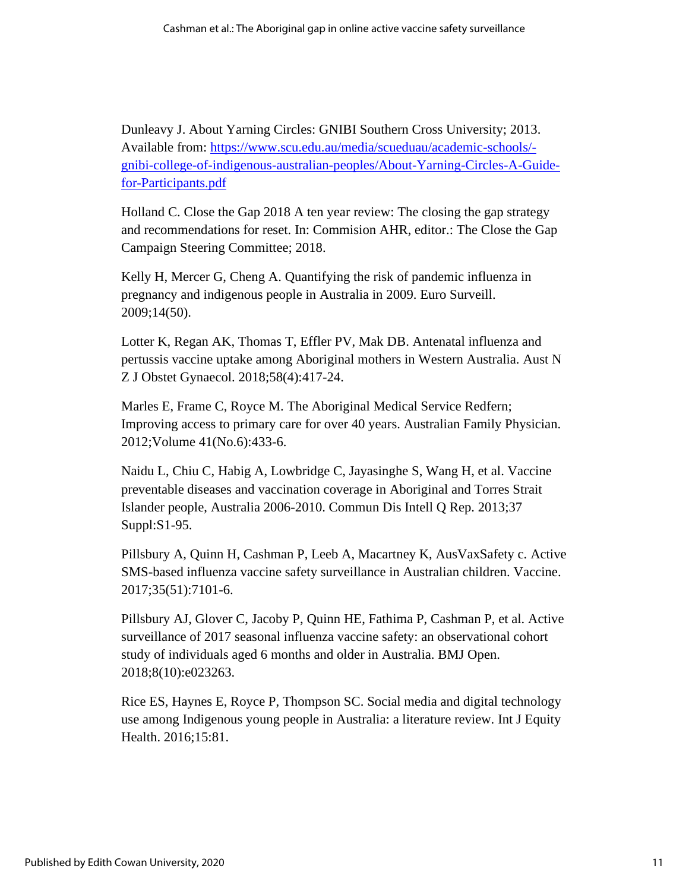Dunleavy J. About Yarning Circles: GNIBI Southern Cross University; 2013. Available from: [https://www.scu.edu.au/media/scueduau/academic-schools/](https://www.scu.edu.au/media/scueduau/academic-schools/-gnibi-college-of-indigenous-australian-peoples/About-Yarning-Circles-A-Guide-for-Participants.pdf) [gnibi-college-of-indigenous-australian-peoples/About-Yarning-Circles-A-Guide](https://www.scu.edu.au/media/scueduau/academic-schools/-gnibi-college-of-indigenous-australian-peoples/About-Yarning-Circles-A-Guide-for-Participants.pdf)[for-Participants.pdf](https://www.scu.edu.au/media/scueduau/academic-schools/-gnibi-college-of-indigenous-australian-peoples/About-Yarning-Circles-A-Guide-for-Participants.pdf)

Holland C. Close the Gap 2018 A ten year review: The closing the gap strategy and recommendations for reset. In: Commision AHR, editor.: The Close the Gap Campaign Steering Committee; 2018.

Kelly H, Mercer G, Cheng A. Quantifying the risk of pandemic influenza in pregnancy and indigenous people in Australia in 2009. Euro Surveill. 2009;14(50).

Lotter K, Regan AK, Thomas T, Effler PV, Mak DB. Antenatal influenza and pertussis vaccine uptake among Aboriginal mothers in Western Australia. Aust N Z J Obstet Gynaecol. 2018;58(4):417-24.

Marles E, Frame C, Royce M. The Aboriginal Medical Service Redfern; Improving access to primary care for over 40 years. Australian Family Physician. 2012;Volume 41(No.6):433-6.

Naidu L, Chiu C, Habig A, Lowbridge C, Jayasinghe S, Wang H, et al. Vaccine preventable diseases and vaccination coverage in Aboriginal and Torres Strait Islander people, Australia 2006-2010. Commun Dis Intell Q Rep. 2013;37 Suppl:S1-95.

Pillsbury A, Quinn H, Cashman P, Leeb A, Macartney K, AusVaxSafety c. Active SMS-based influenza vaccine safety surveillance in Australian children. Vaccine. 2017;35(51):7101-6.

Pillsbury AJ, Glover C, Jacoby P, Quinn HE, Fathima P, Cashman P, et al. Active surveillance of 2017 seasonal influenza vaccine safety: an observational cohort study of individuals aged 6 months and older in Australia. BMJ Open. 2018;8(10):e023263.

Rice ES, Haynes E, Royce P, Thompson SC. Social media and digital technology use among Indigenous young people in Australia: a literature review. Int J Equity Health. 2016;15:81.